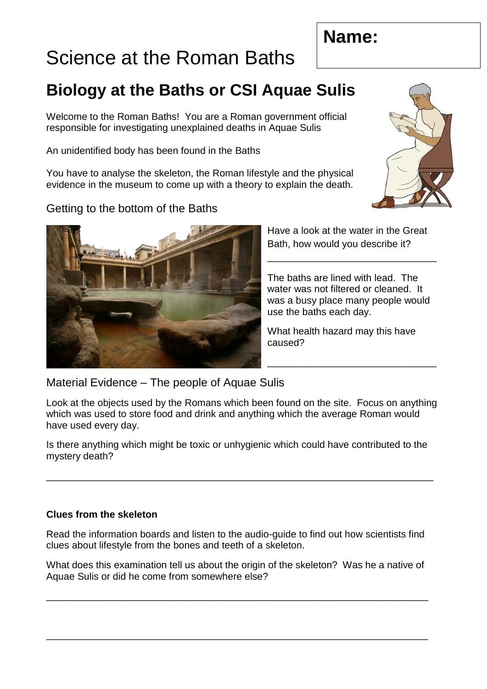# **Name:**

# Science at the Roman Baths

# **Biology at the Baths or CSI Aquae Sulis**

Welcome to the Roman Baths! You are a Roman government official responsible for investigating unexplained deaths in Aquae Sulis

An unidentified body has been found in the Baths

You have to analyse the skeleton, the Roman lifestyle and the physical evidence in the museum to come up with a theory to explain the death.

## Getting to the bottom of the Baths

Have a look at the water in the Great Bath, how would you describe it?

\_\_\_\_\_\_\_\_\_\_\_\_\_\_\_\_\_\_\_\_\_\_\_\_\_\_\_\_\_\_\_

The baths are lined with lead. The water was not filtered or cleaned. It was a busy place many people would use the baths each day.

What health hazard may this have caused?

\_\_\_\_\_\_\_\_\_\_\_\_\_\_\_\_\_\_\_\_\_\_\_\_\_\_\_\_\_\_\_

Material Evidence – The people of Aquae Sulis

Look at the objects used by the Romans which been found on the site. Focus on anything which was used to store food and drink and anything which the average Roman would have used every day.

Is there anything which might be toxic or unhygienic which could have contributed to the mystery death?

\_\_\_\_\_\_\_\_\_\_\_\_\_\_\_\_\_\_\_\_\_\_\_\_\_\_\_\_\_\_\_\_\_\_\_\_\_\_\_\_\_\_\_\_\_\_\_\_\_\_\_\_\_\_\_\_\_\_\_\_\_\_\_\_\_\_\_\_\_\_\_

### **Clues from the skeleton**

Read the information boards and listen to the audio-guide to find out how scientists find clues about lifestyle from the bones and teeth of a skeleton.

What does this examination tell us about the origin of the skeleton? Was he a native of Aquae Sulis or did he come from somewhere else?

\_\_\_\_\_\_\_\_\_\_\_\_\_\_\_\_\_\_\_\_\_\_\_\_\_\_\_\_\_\_\_\_\_\_\_\_\_\_\_\_\_\_\_\_\_\_\_\_\_\_\_\_\_\_\_\_\_\_\_\_\_\_\_\_\_\_\_\_\_\_

\_\_\_\_\_\_\_\_\_\_\_\_\_\_\_\_\_\_\_\_\_\_\_\_\_\_\_\_\_\_\_\_\_\_\_\_\_\_\_\_\_\_\_\_\_\_\_\_\_\_\_\_\_\_\_\_\_\_\_\_\_\_\_\_\_\_\_\_\_\_